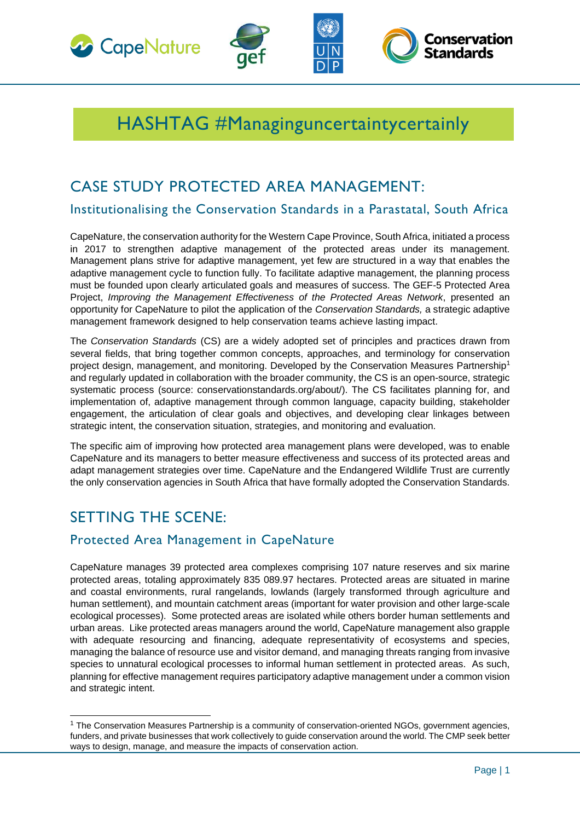







# HASHTAG #Managinguncertaintycertainly

## CASE STUDY PROTECTED AREA MANAGEMENT:

Institutionalising the Conservation Standards in a Parastatal, South Africa

CapeNature, the conservation authority for the Western Cape Province, South Africa, initiated a process in 2017 to strengthen adaptive management of the protected areas under its management. Management plans strive for adaptive management, yet few are structured in a way that enables the adaptive management cycle to function fully. To facilitate adaptive management, the planning process must be founded upon clearly articulated goals and measures of success. The GEF-5 Protected Area Project, *Improving the Management Effectiveness of the Protected Areas Network*, presented an opportunity for CapeNature to pilot the application of the *Conservation Standards,* a strategic adaptive management framework designed to help conservation teams achieve lasting impact.

The *Conservation Standards* (CS) are a widely adopted set of principles and practices drawn from several fields, that bring together common concepts, approaches, and terminology for conservation project design, management, and monitoring. Developed by the Conservation Measures Partnership<sup>1</sup> and regularly updated in collaboration with the broader community, the CS is an open-source, strategic systematic process (source: conservationstandards.org/about/). The CS facilitates planning for, and implementation of, adaptive management through common language, capacity building, stakeholder engagement, the articulation of clear goals and objectives, and developing clear linkages between strategic intent, the conservation situation, strategies, and monitoring and evaluation.

The specific aim of improving how protected area management plans were developed, was to enable CapeNature and its managers to better measure effectiveness and success of its protected areas and adapt management strategies over time. CapeNature and the Endangered Wildlife Trust are currently the only conservation agencies in South Africa that have formally adopted the Conservation Standards.

# SETTING THE SCENE:

### Protected Area Management in CapeNature

CapeNature manages 39 protected area complexes comprising 107 nature reserves and six marine protected areas, totaling approximately 835 089.97 hectares. Protected areas are situated in marine and coastal environments, rural rangelands, lowlands (largely transformed through agriculture and human settlement), and mountain catchment areas (important for water provision and other large-scale ecological processes). Some protected areas are isolated while others border human settlements and urban areas. Like protected areas managers around the world, CapeNature management also grapple with adequate resourcing and financing, adequate representativity of ecosystems and species, managing the balance of resource use and visitor demand, and managing threats ranging from invasive species to unnatural ecological processes to informal human settlement in protected areas. As such, planning for effective management requires participatoryadaptive management under a common vision and strategic intent.

<sup>&</sup>lt;sup>1</sup> The Conservation Measures Partnership is a community of conservation-oriented NGOs, government agencies, funders, and private businesses that work collectively to guide conservation around the world. The CMP seek better ways to design, manage, and measure the impacts of conservation action.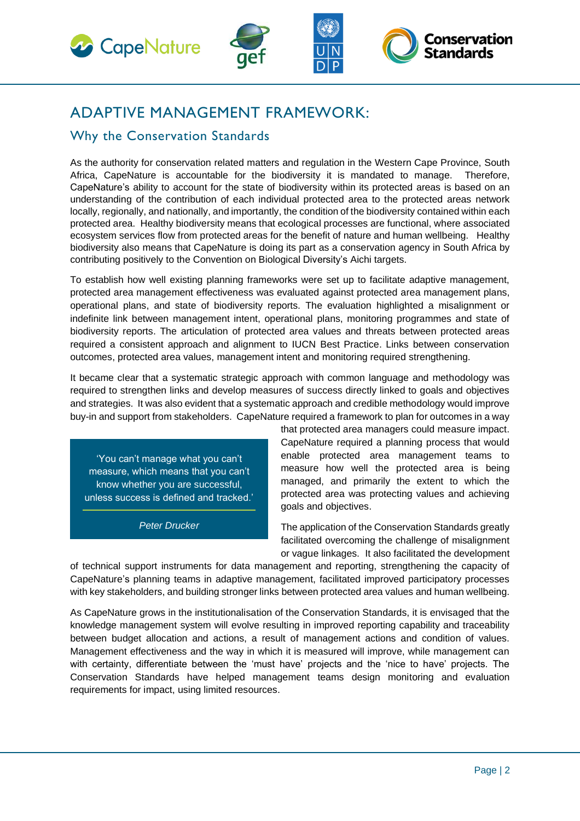





# ADAPTIVE MANAGEMENT FRAMEWORK:

### Why the Conservation Standards

As the authority for conservation related matters and regulation in the Western Cape Province, South Africa, CapeNature is accountable for the biodiversity it is mandated to manage. Therefore, CapeNature's ability to account for the state of biodiversity within its protected areas is based on an understanding of the contribution of each individual protected area to the protected areas network locally, regionally, and nationally, and importantly, the condition of the biodiversity contained within each protected area. Healthy biodiversity means that ecological processes are functional, where associated ecosystem services flow from protected areas for the benefit of nature and human wellbeing. Healthy biodiversity also means that CapeNature is doing its part as a conservation agency in South Africa by contributing positively to the Convention on Biological Diversity's Aichi targets.

To establish how well existing planning frameworks were set up to facilitate adaptive management, protected area management effectiveness was evaluated against protected area management plans, operational plans, and state of biodiversity reports. The evaluation highlighted a misalignment or indefinite link between management intent, operational plans, monitoring programmes and state of biodiversity reports. The articulation of protected area values and threats between protected areas required a consistent approach and alignment to IUCN Best Practice. Links between conservation outcomes, protected area values, management intent and monitoring required strengthening.

It became clear that a systematic strategic approach with common language and methodology was required to strengthen links and develop measures of success directly linked to goals and objectives and strategies. It was also evident that a systematic approach and credible methodology would improve buy-in and support from stakeholders. CapeNature required a framework to plan for outcomes in a way

'You can't manage what you can't measure, which means that you can't know whether you are successful, unless success is defined and tracked.'

*Peter Drucker*

that protected area managers could measure impact. CapeNature required a planning process that would enable protected area management teams to measure how well the protected area is being managed, and primarily the extent to which the protected area was protecting values and achieving goals and objectives.

The application of the Conservation Standards greatly facilitated overcoming the challenge of misalignment or vague linkages. It also facilitated the development

of technical support instruments for data management and reporting, strengthening the capacity of CapeNature's planning teams in adaptive management, facilitated improved participatory processes with key stakeholders, and building stronger links between protected area values and human wellbeing.

As CapeNature grows in the institutionalisation of the Conservation Standards, it is envisaged that the knowledge management system will evolve resulting in improved reporting capability and traceability between budget allocation and actions, a result of management actions and condition of values. Management effectiveness and the way in which it is measured will improve, while management can with certainty, differentiate between the 'must have' projects and the 'nice to have' projects. The Conservation Standards have helped management teams design monitoring and evaluation requirements for impact, using limited resources.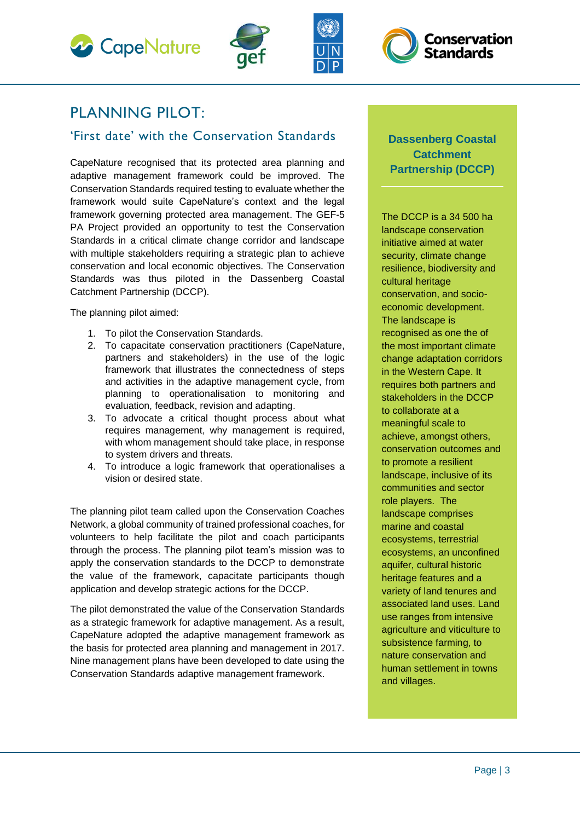







## PLANNING PILOT:

### 'First date' with the Conservation Standards

CapeNature recognised that its protected area planning and adaptive management framework could be improved. The Conservation Standards required testing to evaluate whether the framework would suite CapeNature's context and the legal framework governing protected area management. The GEF-5 PA Project provided an opportunity to test the Conservation Standards in a critical climate change corridor and landscape with multiple stakeholders requiring a strategic plan to achieve conservation and local economic objectives. The Conservation Standards was thus piloted in the Dassenberg Coastal Catchment Partnership (DCCP).

The planning pilot aimed:

- 1. To pilot the Conservation Standards.
- 2. To capacitate conservation practitioners (CapeNature, partners and stakeholders) in the use of the logic framework that illustrates the connectedness of steps and activities in the adaptive management cycle, from planning to operationalisation to monitoring and evaluation, feedback, revision and adapting.
- 3. To advocate a critical thought process about what requires management, why management is required, with whom management should take place, in response to system drivers and threats.
- 4. To introduce a logic framework that operationalises a vision or desired state.

The planning pilot team called upon the Conservation Coaches Network, a global community of trained professional coaches, for volunteers to help facilitate the pilot and coach participants through the process. The planning pilot team's mission was to apply the conservation standards to the DCCP to demonstrate the value of the framework, capacitate participants though application and develop strategic actions for the DCCP.

The pilot demonstrated the value of the Conservation Standards as a strategic framework for adaptive management. As a result, CapeNature adopted the adaptive management framework as the basis for protected area planning and management in 2017. Nine management plans have been developed to date using the Conservation Standards adaptive management framework.

#### **Dassenberg Coastal Catchment Partnership (DCCP)**

The DCCP is a 34 500 ha landscape conservation initiative aimed at water security, climate change resilience, biodiversity and cultural heritage conservation, and socioeconomic development. The landscape is recognised as one the of the most important climate change adaptation corridors in the Western Cape. It requires both partners and stakeholders in the DCCP to collaborate at a meaningful scale to achieve, amongst others, conservation outcomes and to promote a resilient landscape, inclusive of its communities and sector role players. The landscape comprises marine and coastal ecosystems, terrestrial ecosystems, an unconfined aquifer, cultural historic heritage features and a variety of land tenures and associated land uses. Land use ranges from intensive agriculture and viticulture to subsistence farming, to nature conservation and human settlement in towns and villages.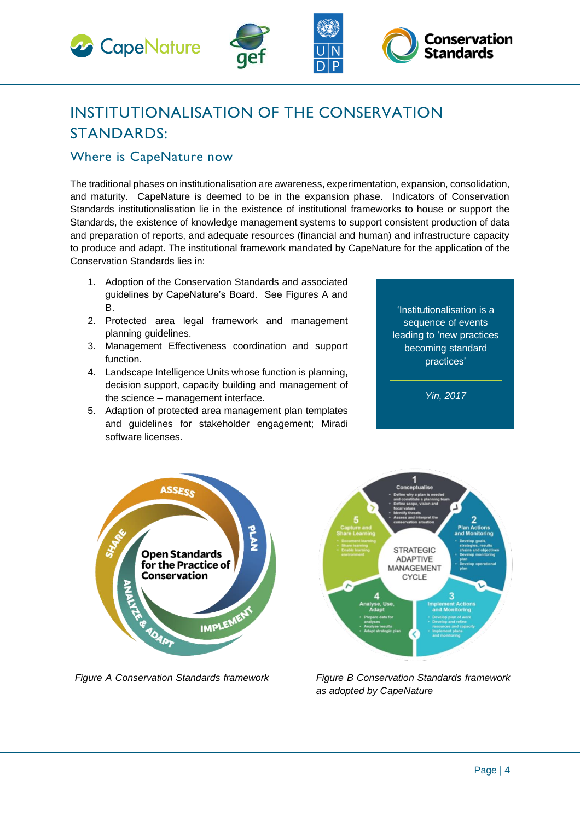



#### Where is CapeNature now

The traditional phases on institutionalisation are awareness, experimentation, expansion, consolidation, and maturity. CapeNature is deemed to be in the expansion phase. Indicators of Conservation Standards institutionalisation lie in the existence of institutional frameworks to house or support the Standards, the existence of knowledge management systems to support consistent production of data and preparation of reports, and adequate resources (financial and human) and infrastructure capacity to produce and adapt. The institutional framework mandated by CapeNature for the application of the Conservation Standards lies in:

- 1. Adoption of the Conservation Standards and associated guidelines by CapeNature's Board. See Figures A and B.
- 2. Protected area legal framework and management planning guidelines.
- 3. Management Effectiveness coordination and support function.
- 4. Landscape Intelligence Units whose function is planning, decision support, capacity building and management of the science – management interface.
- 5. Adaption of protected area management plan templates and guidelines for stakeholder engagement; Miradi software licenses.

'Institutionalisation is a sequence of events leading to 'new practices becoming standard practices'

**Conservation** 

Standards

*Yin, 2017*



*Figure A Conservation Standards framework* 



*Figure B Conservation Standards framework as adopted by CapeNature*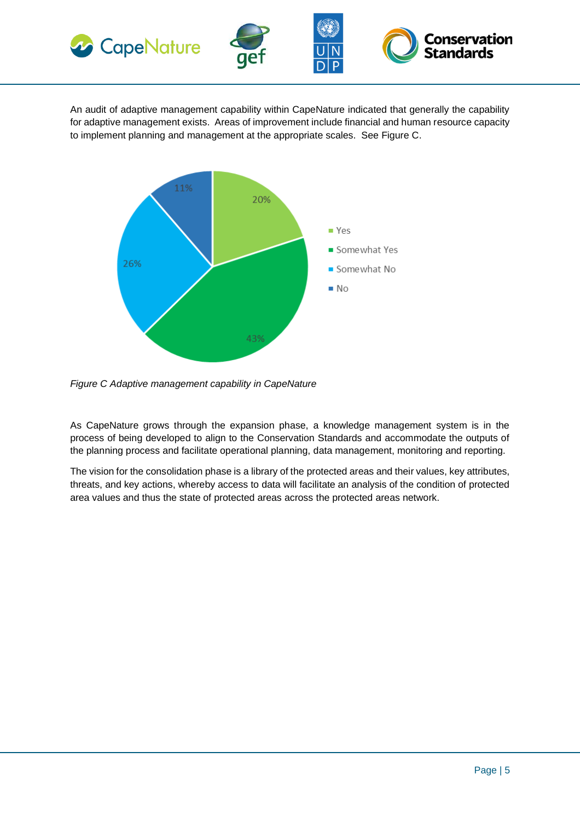





An audit of adaptive management capability within CapeNature indicated that generally the capability for adaptive management exists. Areas of improvement include financial and human resource capacity to implement planning and management at the appropriate scales. See Figure C.



*Figure C Adaptive management capability in CapeNature*

As CapeNature grows through the expansion phase, a knowledge management system is in the process of being developed to align to the Conservation Standards and accommodate the outputs of the planning process and facilitate operational planning, data management, monitoring and reporting.

The vision for the consolidation phase is a library of the protected areas and their values, key attributes, threats, and key actions, whereby access to data will facilitate an analysis of the condition of protected area values and thus the state of protected areas across the protected areas network.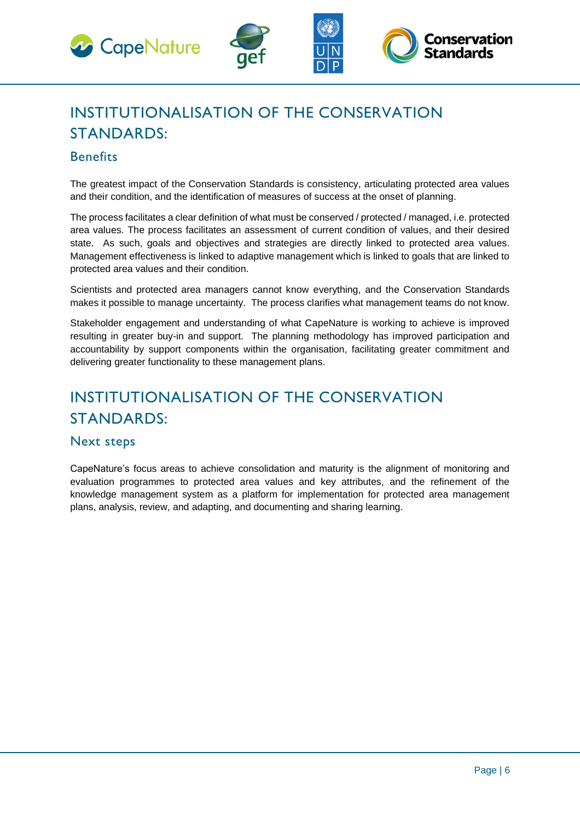





# INSTITUTIONALISATION OF THE CONSERVATION STANDARDS:

#### **Benefits**

The greatest impact of the Conservation Standards is consistency, articulating protected area values and their condition, and the identification of measures of success at the onset of planning.

The process facilitates a clear definition of what must be conserved / protected / managed, i.e. protected area values. The process facilitates an assessment of current condition of values, and their desired state. As such, goals and objectives and strategies are directly linked to protected area values. Management effectiveness is linked to adaptive management which is linked to goals that are linked to protected area values and their condition.

Scientists and protected area managers cannot know everything, and the Conservation Standards makes it possible to manage uncertainty. The process clarifies what management teams do not know.

Stakeholder engagement and understanding of what CapeNature is working to achieve is improved resulting in greater buy-in and support. The planning methodology has improved participation and accountability by support components within the organisation, facilitating greater commitment and delivering greater functionality to these management plans.

# INSTITUTIONALISATION OF THE CONSERVATION STANDARDS:

#### Next steps

CapeNature's focus areas to achieve consolidation and maturity is the alignment of monitoring and evaluation programmes to protected area values and key attributes, and the refinement of the knowledge management system as a platform for implementation for protected area management plans, analysis, review, and adapting, and documenting and sharing learning.